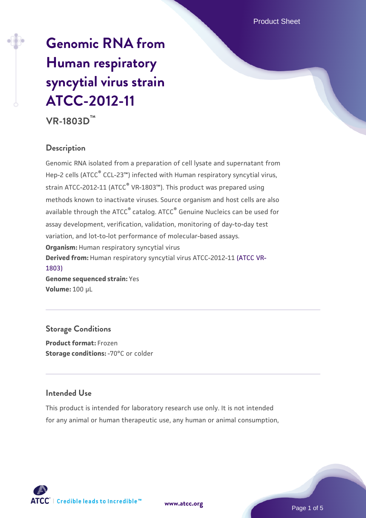# **[Genomic RNA from](https://www.atcc.org/products/vr-1803d) [Human respiratory](https://www.atcc.org/products/vr-1803d) [syncytial virus strain](https://www.atcc.org/products/vr-1803d) [ATCC-2012-11](https://www.atcc.org/products/vr-1803d)**

**VR-1803D™**

# **Description**

Genomic RNA isolated from a preparation of cell lysate and supernatant from Hep-2 cells (ATCC<sup>®</sup> CCL-23™) infected with Human respiratory syncytial virus, strain ATCC-2012-11 (ATCC<sup>®</sup> VR-1803<sup>™</sup>). This product was prepared using methods known to inactivate viruses. Source organism and host cells are also available through the ATCC<sup>®</sup> catalog. ATCC<sup>®</sup> Genuine Nucleics can be used for assay development, verification, validation, monitoring of day-to-day test variation, and lot-to-lot performance of molecular-based assays. **Organism:** Human respiratory syncytial virus **Derived from:** Human respiratory syncytial virus ATCC-2012-11 [\(ATCC VR-](https://www.atcc.org/products/vr-1803)[1803\)](https://www.atcc.org/products/vr-1803) **Genome sequenced strain:** Yes **Volume:** 100 µL

**Storage Conditions Product format:** Frozen **Storage conditions: - 70°C or colder** 

## **Intended Use**

This product is intended for laboratory research use only. It is not intended for any animal or human therapeutic use, any human or animal consumption,



**[www.atcc.org](http://www.atcc.org)**

Page 1 of 5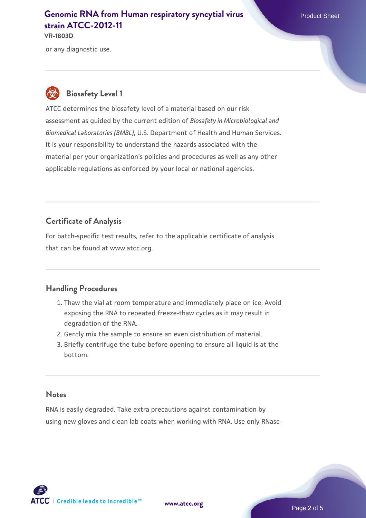#### **[Genomic RNA from Human respiratory syncytial virus](https://www.atcc.org/products/vr-1803d)** Product Sheet **[strain ATCC-2012-11](https://www.atcc.org/products/vr-1803d) VR-1803D**

or any diagnostic use.

# **Biosafety Level 1**

ATCC determines the biosafety level of a material based on our risk assessment as guided by the current edition of *Biosafety in Microbiological and Biomedical Laboratories (BMBL)*, U.S. Department of Health and Human Services. It is your responsibility to understand the hazards associated with the material per your organization's policies and procedures as well as any other applicable regulations as enforced by your local or national agencies.

# **Certificate of Analysis**

For batch-specific test results, refer to the applicable certificate of analysis that can be found at www.atcc.org.

## **Handling Procedures**

- 1. Thaw the vial at room temperature and immediately place on ice. Avoid exposing the RNA to repeated freeze-thaw cycles as it may result in degradation of the RNA.
- 2. Gently mix the sample to ensure an even distribution of material.
- Briefly centrifuge the tube before opening to ensure all liquid is at the 3. bottom.

#### **Notes**

RNA is easily degraded. Take extra precautions against contamination by using new gloves and clean lab coats when working with RNA. Use only RNase-

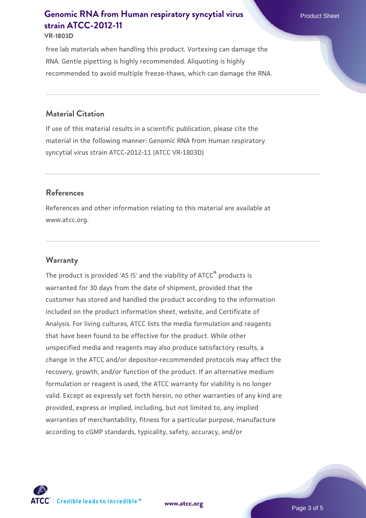# **[Genomic RNA from Human respiratory syncytial virus](https://www.atcc.org/products/vr-1803d)** Product Sheet **[strain ATCC-2012-11](https://www.atcc.org/products/vr-1803d)**

#### **VR-1803D**

free lab materials when handling this product. Vortexing can damage the RNA. Gentle pipetting is highly recommended. Aliquoting is highly recommended to avoid multiple freeze-thaws, which can damage the RNA.

#### **Material Citation**

If use of this material results in a scientific publication, please cite the material in the following manner: Genomic RNA from Human respiratory syncytial virus strain ATCC-2012-11 (ATCC VR-1803D)

#### **References**

References and other information relating to this material are available at www.atcc.org.

#### **Warranty**

The product is provided 'AS IS' and the viability of ATCC® products is warranted for 30 days from the date of shipment, provided that the customer has stored and handled the product according to the information included on the product information sheet, website, and Certificate of Analysis. For living cultures, ATCC lists the media formulation and reagents that have been found to be effective for the product. While other unspecified media and reagents may also produce satisfactory results, a change in the ATCC and/or depositor-recommended protocols may affect the recovery, growth, and/or function of the product. If an alternative medium formulation or reagent is used, the ATCC warranty for viability is no longer valid. Except as expressly set forth herein, no other warranties of any kind are provided, express or implied, including, but not limited to, any implied warranties of merchantability, fitness for a particular purpose, manufacture according to cGMP standards, typicality, safety, accuracy, and/or



**[www.atcc.org](http://www.atcc.org)**

Page 3 of 5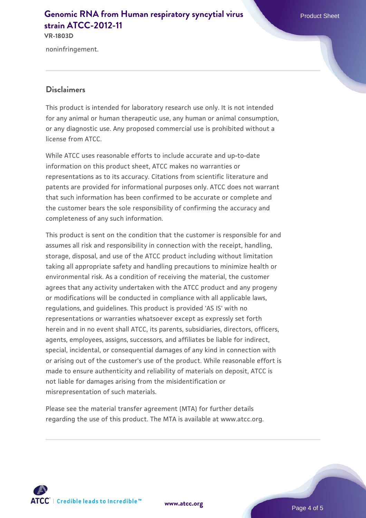#### **[Genomic RNA from Human respiratory syncytial virus](https://www.atcc.org/products/vr-1803d)** Product Sheet **[strain ATCC-2012-11](https://www.atcc.org/products/vr-1803d) VR-1803D**

noninfringement.

#### **Disclaimers**

This product is intended for laboratory research use only. It is not intended for any animal or human therapeutic use, any human or animal consumption, or any diagnostic use. Any proposed commercial use is prohibited without a license from ATCC.

While ATCC uses reasonable efforts to include accurate and up-to-date information on this product sheet, ATCC makes no warranties or representations as to its accuracy. Citations from scientific literature and patents are provided for informational purposes only. ATCC does not warrant that such information has been confirmed to be accurate or complete and the customer bears the sole responsibility of confirming the accuracy and completeness of any such information.

This product is sent on the condition that the customer is responsible for and assumes all risk and responsibility in connection with the receipt, handling, storage, disposal, and use of the ATCC product including without limitation taking all appropriate safety and handling precautions to minimize health or environmental risk. As a condition of receiving the material, the customer agrees that any activity undertaken with the ATCC product and any progeny or modifications will be conducted in compliance with all applicable laws, regulations, and guidelines. This product is provided 'AS IS' with no representations or warranties whatsoever except as expressly set forth herein and in no event shall ATCC, its parents, subsidiaries, directors, officers, agents, employees, assigns, successors, and affiliates be liable for indirect, special, incidental, or consequential damages of any kind in connection with or arising out of the customer's use of the product. While reasonable effort is made to ensure authenticity and reliability of materials on deposit, ATCC is not liable for damages arising from the misidentification or misrepresentation of such materials.

Please see the material transfer agreement (MTA) for further details regarding the use of this product. The MTA is available at www.atcc.org.